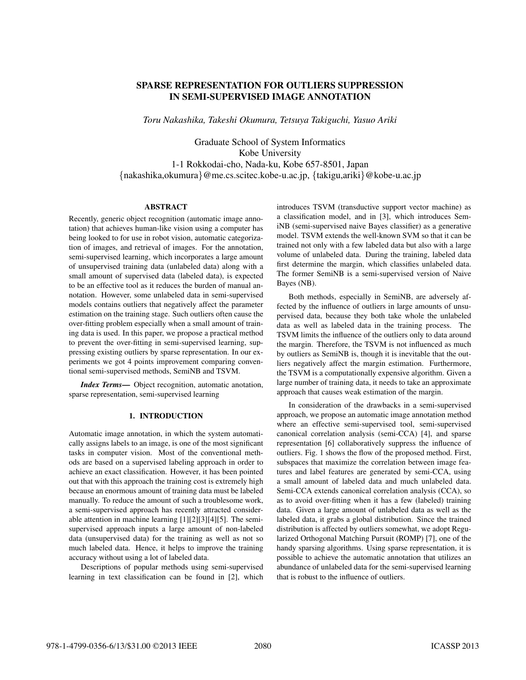# SPARSE REPRESENTATION FOR OUTLIERS SUPPRESSION IN SEMI-SUPERVISED IMAGE ANNOTATION

*Toru Nakashika, Takeshi Okumura, Tetsuya Takiguchi, Yasuo Ariki*

Graduate School of System Informatics Kobe University 1-1 Rokkodai-cho, Nada-ku, Kobe 657-8501, Japan *{*nakashika,okumura*}*@me.cs.scitec.kobe-u.ac.jp, *{*takigu,ariki*}*@kobe-u.ac.jp

## ABSTRACT

Recently, generic object recognition (automatic image annotation) that achieves human-like vision using a computer has being looked to for use in robot vision, automatic categorization of images, and retrieval of images. For the annotation, semi-supervised learning, which incorporates a large amount of unsupervised training data (unlabeled data) along with a small amount of supervised data (labeled data), is expected to be an effective tool as it reduces the burden of manual annotation. However, some unlabeled data in semi-supervised models contains outliers that negatively affect the parameter estimation on the training stage. Such outliers often cause the over-fitting problem especially when a small amount of training data is used. In this paper, we propose a practical method to prevent the over-fitting in semi-supervised learning, suppressing existing outliers by sparse representation. In our experiments we got 4 points improvement comparing conventional semi-supervised methods, SemiNB and TSVM.

*Index Terms*— Object recognition, automatic anotation, sparse representation, semi-supervised learning

# 1. INTRODUCTION

Automatic image annotation, in which the system automatically assigns labels to an image, is one of the most significant tasks in computer vision. Most of the conventional methods are based on a supervised labeling approach in order to achieve an exact classification. However, it has been pointed out that with this approach the training cost is extremely high because an enormous amount of training data must be labeled manually. To reduce the amount of such a troublesome work, a semi-supervised approach has recently attracted considerable attention in machine learning [1][2][3][4][5]. The semisupervised approach inputs a large amount of non-labeled data (unsupervised data) for the training as well as not so much labeled data. Hence, it helps to improve the training accuracy without using a lot of labeled data.

Descriptions of popular methods using semi-supervised learning in text classification can be found in [2], which introduces TSVM (transductive support vector machine) as a classification model, and in [3], which introduces SemiNB (semi-supervised naive Bayes classifier) as a generative model. TSVM extends the well-known SVM so that it can be trained not only with a few labeled data but also with a large volume of unlabeled data. During the training, labeled data first determine the margin, which classifies unlabeled data. The former SemiNB is a semi-supervised version of Naive Bayes (NB).

Both methods, especially in SemiNB, are adversely affected by the influence of outliers in large amounts of unsupervised data, because they both take whole the unlabeled data as well as labeled data in the training process. The TSVM limits the influence of the outliers only to data around the margin. Therefore, the TSVM is not influenced as much by outliers as SemiNB is, though it is inevitable that the outliers negatively affect the margin estimation. Furthermore, the TSVM is a computationally expensive algorithm. Given a large number of training data, it needs to take an approximate approach that causes weak estimation of the margin.

In consideration of the drawbacks in a semi-supervised approach, we propose an automatic image annotation method where an effective semi-supervised tool, semi-supervised canonical correlation analysis (semi-CCA) [4], and sparse representation [6] collaboratively suppress the influence of outliers. Fig. 1 shows the flow of the proposed method. First, subspaces that maximize the correlation between image features and label features are generated by semi-CCA, using a small amount of labeled data and much unlabeled data. Semi-CCA extends canonical correlation analysis (CCA), so as to avoid over-fitting when it has a few (labeled) training data. Given a large amount of unlabeled data as well as the labeled data, it grabs a global distribution. Since the trained distribution is affected by outliers somewhat, we adopt Regularized Orthogonal Matching Pursuit (ROMP) [7], one of the handy sparsing algorithms. Using sparse representation, it is possible to achieve the automatic annotation that utilizes an abundance of unlabeled data for the semi-supervised learning that is robust to the influence of outliers.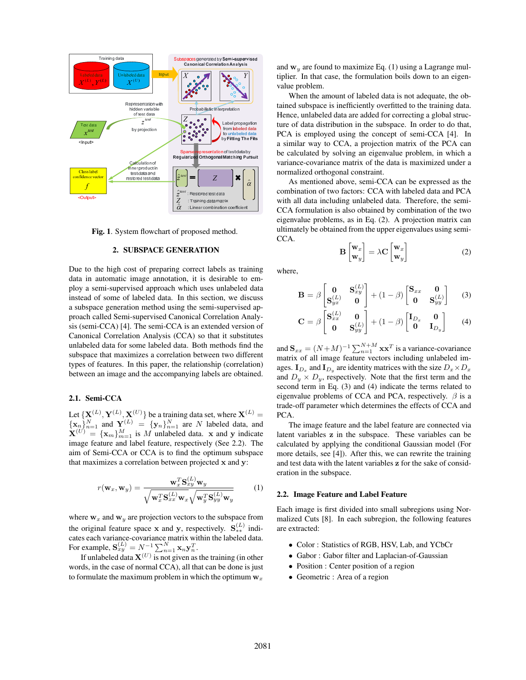

Fig. 1. System flowchart of proposed method.

#### 2. SUBSPACE GENERATION

Due to the high cost of preparing correct labels as training data in automatic image annotation, it is desirable to employ a semi-supervised approach which uses unlabeled data instead of some of labeled data. In this section, we discuss a subspace generation method using the semi-supervised approach called Semi-supervised Canonical Correlation Analysis (semi-CCA) [4]. The semi-CCA is an extended version of Canonical Correlation Analysis (CCA) so that it substitutes unlabeled data for some labeled data. Both methods find the subspace that maximizes a correlation between two different types of features. In this paper, the relationship (correlation) between an image and the accompanying labels are obtained.

#### 2.1. Semi-CCA

Let  $\{X^{(L)}, Y^{(L)}, X^{(U)}\}$  be a training data set, where  $X^{(L)}$  =  $\{ {\bf x}_n \}_{n=1}^N$  and  ${\bf Y}^{(L)} = {\bf y}_n \}_{n=1}^N$  are *N* labeled data, and  $\mathbf{X}^{(U)} = {\mathbf{x}_m}_{m=1}^M$  is *M* unlabeled data. **x** and **y** indicate image feature and label feature, respectively (See 2.2). The aim of Semi-CCA or CCA is to find the optimum subspace that maximizes a correlation between projected **x** and **y**:

$$
r(\mathbf{w}_x, \mathbf{w}_y) = \frac{\mathbf{w}_x^T \mathbf{S}_{xy}^{(L)} \mathbf{w}_y}{\sqrt{\mathbf{w}_x^T \mathbf{S}_{xx}^{(L)} \mathbf{w}_x} \sqrt{\mathbf{w}_y^T \mathbf{S}_{yy}^{(L)} \mathbf{w}_y}}
$$
(1)

where  $w_x$  and  $w_y$  are projection vectors to the subspace from the original feature space **x** and **y**, respectively.  $S_{**}^{(L)}$  indicates each variance-covariance matrix within the labeled data. For example,  $S_{xy}^{(L)} = N^{-1} \sum_{n=1}^{N} x_n y_n^T$ .

If unlabeled data  $\mathbf{X}^{(U)}$  is not given as the training (in other words, in the case of normal CCA), all that can be done is just to formulate the maximum problem in which the optimum **w***<sup>x</sup>* and  $w<sub>y</sub>$  are found to maximize Eq. (1) using a Lagrange multiplier. In that case, the formulation boils down to an eigenvalue problem.

When the amount of labeled data is not adequate, the obtained subspace is inefficiently overfitted to the training data. Hence, unlabeled data are added for correcting a global structure of data distribution in the subspace. In order to do that, PCA is employed using the concept of semi-CCA [4]. In a similar way to CCA, a projection matrix of the PCA can be calculated by solving an eigenvalue problem, in which a variance-covariance matrix of the data is maximized under a normalized orthogonal constraint.

As mentioned above, semi-CCA can be expressed as the combination of two factors: CCA with labeled data and PCA with all data including unlabeled data. Therefore, the semi-CCA formulation is also obtained by combination of the two eigenvalue problems, as in Eq. (2). A projection matrix can ultimately be obtained from the upper eigenvalues using semi-CCA.

$$
\mathbf{B} \begin{bmatrix} \mathbf{w}_x \\ \mathbf{w}_y \end{bmatrix} = \lambda \mathbf{C} \begin{bmatrix} \mathbf{w}_x \\ \mathbf{w}_y \end{bmatrix}
$$
 (2)

where,

$$
\mathbf{B} = \beta \begin{bmatrix} \mathbf{0} & \mathbf{S}_{xy}^{(L)} \\ \mathbf{S}_{yx}^{(L)} & \mathbf{0} \end{bmatrix} + (1 - \beta) \begin{bmatrix} \mathbf{S}_{xx} & \mathbf{0} \\ \mathbf{0} & \mathbf{S}_{yy}^{(L)} \end{bmatrix}
$$
 (3)

$$
\mathbf{C} = \beta \begin{bmatrix} \mathbf{S}_{xx}^{(L)} & \mathbf{0} \\ \mathbf{0} & \mathbf{S}_{yy}^{(L)} \end{bmatrix} + (1 - \beta) \begin{bmatrix} \mathbf{I}_{D_x} & \mathbf{0} \\ \mathbf{0} & \mathbf{I}_{D_y} \end{bmatrix}
$$
 (4)

and  $\mathbf{S}_{xx} = (N+M)^{-1} \sum_{n=1}^{N+M} \mathbf{x} \mathbf{x}^T$  is a variance-covariance matrix of all image feature vectors including unlabeled images.  $I_{D_x}$  and  $I_{D_y}$  are identity matrices with the size  $D_x \times D_x$ and  $D_y \times D_y$ , respectively. Note that the first term and the second term in Eq. (3) and (4) indicate the terms related to eigenvalue problems of CCA and PCA, respectively. *β* is a trade-off parameter which determines the effects of CCA and PCA.

The image feature and the label feature are connected via latent variables **z** in the subspace. These variables can be calculated by applying the conditional Gaussian model (For more details, see [4]). After this, we can rewrite the training and test data with the latent variables **z** for the sake of consideration in the subspace.

#### 2.2. Image Feature and Label Feature

Each image is first divided into small subregions using Normalized Cuts [8]. In each subregion, the following features are extracted:

- *•* Color : Statistics of RGB, HSV, Lab, and YCbCr
- *•* Gabor : Gabor filter and Laplacian-of-Gaussian
- *•* Position : Center position of a region
- *•* Geometric : Area of a region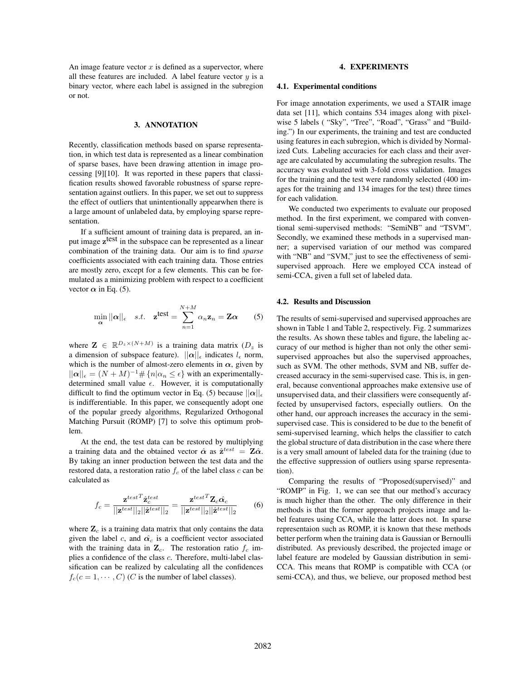An image feature vector *x* is defined as a supervector, where all these features are included. A label feature vector *y* is a binary vector, where each label is assigned in the subregion or not.

### 3. ANNOTATION

Recently, classification methods based on sparse representation, in which test data is represented as a linear combination of sparse bases, have been drawing attention in image processing [9][10]. It was reported in these papers that classification results showed favorable robustness of sparse representation against outliers. In this paper, we set out to suppress the effect of outliers that unintentionally appearwhen there is a large amount of unlabeled data, by employing sparse representation.

If a sufficient amount of training data is prepared, an input image z<sup>test</sup> in the subspace can be represented as a linear combination of the training data. Our aim is to find *sparse* coefficients associated with each training data. Those entries are mostly zero, except for a few elements. This can be formulated as a minimizing problem with respect to a coefficient vector  $\alpha$  in Eq. (5).

$$
\min_{\alpha} ||\alpha||_{\epsilon} \quad s.t. \quad \mathbf{z}^{\text{test}} = \sum_{n=1}^{N+M} \alpha_n \mathbf{z}_n = \mathbf{Z}\alpha \tag{5}
$$

where  $\mathbf{Z} \in \mathbb{R}^{D_z \times (N+M)}$  is a training data matrix  $(D_z)$  is a dimension of subspace feature).  $||\alpha||_{\epsilon}$  indicates  $l_{\epsilon}$  norm, which is the number of almost-zero elements in  $\alpha$ , given by  $||\alpha||_{\epsilon} = (N + M)^{-1} \# \{n | \alpha_n \leq \epsilon\}$  with an experimentallydetermined small value  $\epsilon$ . However, it is computationally difficult to find the optimum vector in Eq. (5) because  $||\alpha||_{\epsilon}$ is indifferentiable. In this paper, we consequently adopt one of the popular greedy algorithms, Regularized Orthogonal Matching Pursuit (ROMP) [7] to solve this optimum problem.

At the end, the test data can be restored by multiplying a training data and the obtained vector  $\hat{\alpha}$  as  $\hat{\mathbf{z}}^{test} = \mathbf{Z}\hat{\alpha}$ . By taking an inner production between the test data and the restored data, a restoration ratio *f<sup>c</sup>* of the label class *c* can be calculated as

$$
f_c = \frac{\mathbf{z}^{test}^T \hat{\mathbf{z}}_c^{test}}{||\mathbf{z}^{test}||_2||\hat{\mathbf{z}}^{test}||_2} = \frac{\mathbf{z}^{test}^T \mathbf{Z}_c \hat{\alpha}_c}{||\mathbf{z}^{test}||_2||\hat{\mathbf{z}}^{test}||_2}
$$
(6)

where  $\mathbf{Z}_c$  is a training data matrix that only contains the data given the label  $c$ , and  $\hat{\alpha}_c$  is a coefficient vector associated with the training data in  $\mathbf{Z}_c$ . The restoration ratio  $f_c$  implies a confidence of the class *c*. Therefore, multi-label classification can be realized by calculating all the confidences  $f_c(c = 1, \dots, C)$  (*C* is the number of label classes).

# 4. EXPERIMENTS

#### 4.1. Experimental conditions

For image annotation experiments, we used a STAIR image data set [11], which contains 534 images along with pixelwise 5 labels ( "Sky", "Tree", "Road", "Grass" and "Building.") In our experiments, the training and test are conducted using features in each subregion, which is divided by Normalized Cuts. Labeling accuracies for each class and their average are calculated by accumulating the subregion results. The accuracy was evaluated with 3-fold cross validation. Images for the training and the test were randomly selected (400 images for the training and 134 images for the test) three times for each validation.

We conducted two experiments to evaluate our proposed method. In the first experiment, we compared with conventional semi-supervised methods: "SemiNB" and "TSVM". Secondly, we examined these methods in a supervised manner; a supervised variation of our method was compared with "NB" and "SVM," just to see the effectiveness of semisupervised approach. Here we employed CCA instead of semi-CCA, given a full set of labeled data.

### 4.2. Results and Discussion

The results of semi-supervised and supervised approaches are shown in Table 1 and Table 2, respectively. Fig. 2 summarizes the results. As shown these tables and figure, the labeling accuracy of our method is higher than not only the other semisupervised approaches but also the supervised approaches, such as SVM. The other methods, SVM and NB, suffer decreased accuracy in the semi-supervised case. This is, in general, because conventional approaches make extensive use of unsupervised data, and their classifiers were consequently affected by unsupervised factors, especially outliers. On the other hand, our approach increases the accuracy in the semisupervised case. This is considered to be due to the benefit of semi-supervised learning, which helps the classifier to catch the global structure of data distribution in the case where there is a very small amount of labeled data for the training (due to the effective suppression of outliers using sparse representation).

Comparing the results of "Proposed(supervised)" and "ROMP" in Fig. 1, we can see that our method's accuracy is much higher than the other. The only difference in their methods is that the former approach projects image and label features using CCA, while the latter does not. In sparse representaion such as ROMP, it is known that these methods better perform when the training data is Gaussian or Bernoulli distributed. As previously described, the projected image or label feature are modeled by Gaussian distribution in semi-CCA. This means that ROMP is compatible with CCA (or semi-CCA), and thus, we believe, our proposed method best